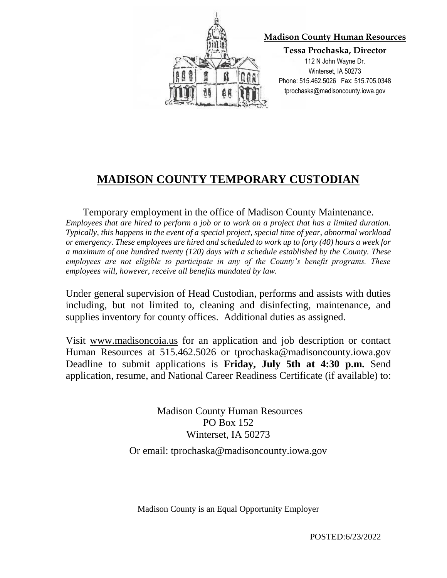

## **MADISON COUNTY TEMPORARY CUSTODIAN**

Temporary employment in the office of Madison County Maintenance. *Employees that are hired to perform a job or to work on a project that has a limited duration. Typically, this happens in the event of a special project, special time of year, abnormal workload or emergency. These employees are hired and scheduled to work up to forty (40) hours a week for a maximum of one hundred twenty (120) days with a schedule established by the County. These employees are not eligible to participate in any of the County's benefit programs. These employees will, however, receive all benefits mandated by law.*

Under general supervision of Head Custodian, performs and assists with duties including, but not limited to, cleaning and disinfecting, maintenance, and supplies inventory for county offices. Additional duties as assigned.

Visit www.madisoncoia.us for an application and job description or contact Human Resources at 515.462.5026 or tprochaska@madisoncounty.iowa.gov Deadline to submit applications is **Friday, July 5th at 4:30 p.m.** Send application, resume, and National Career Readiness Certificate (if available) to:

> Madison County Human Resources PO Box 152 Winterset, IA 50273 Or email: tprochaska@madisoncounty.iowa.gov

Madison County is an Equal Opportunity Employer

POSTED:6/23/2022